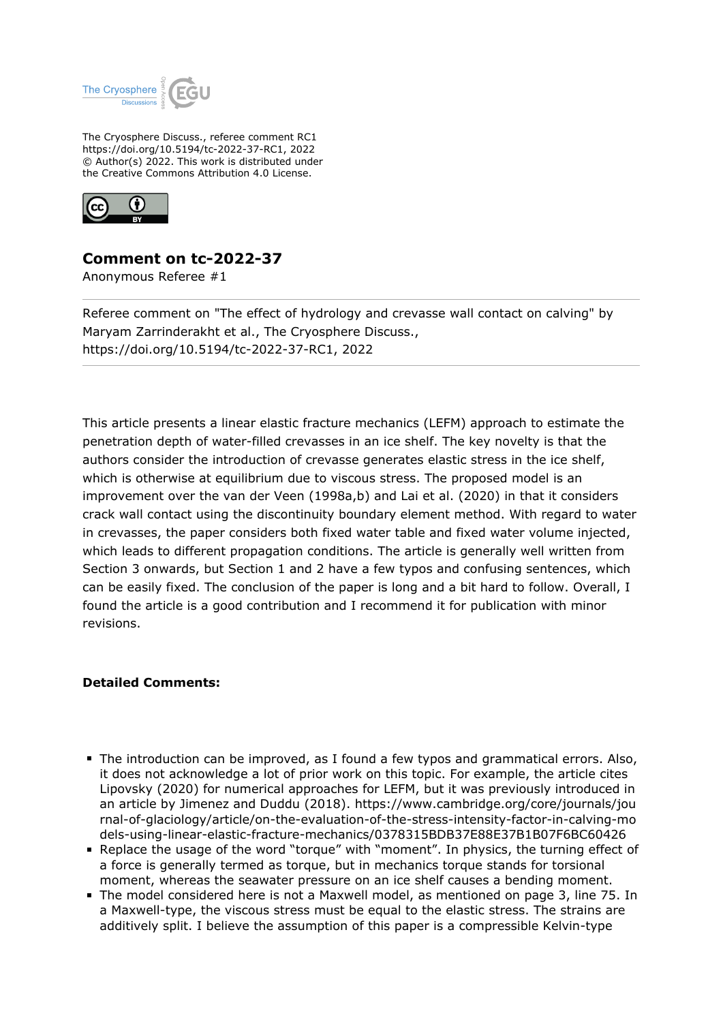

The Cryosphere Discuss., referee comment RC1 https://doi.org/10.5194/tc-2022-37-RC1, 2022 © Author(s) 2022. This work is distributed under the Creative Commons Attribution 4.0 License.



## **Comment on tc-2022-37**

Anonymous Referee #1

Referee comment on "The effect of hydrology and crevasse wall contact on calving" by Maryam Zarrinderakht et al., The Cryosphere Discuss., https://doi.org/10.5194/tc-2022-37-RC1, 2022

This article presents a linear elastic fracture mechanics (LEFM) approach to estimate the penetration depth of water-filled crevasses in an ice shelf. The key novelty is that the authors consider the introduction of crevasse generates elastic stress in the ice shelf, which is otherwise at equilibrium due to viscous stress. The proposed model is an improvement over the van der Veen (1998a,b) and Lai et al. (2020) in that it considers crack wall contact using the discontinuity boundary element method. With regard to water in crevasses, the paper considers both fixed water table and fixed water volume injected, which leads to different propagation conditions. The article is generally well written from Section 3 onwards, but Section 1 and 2 have a few typos and confusing sentences, which can be easily fixed. The conclusion of the paper is long and a bit hard to follow. Overall, I found the article is a good contribution and I recommend it for publication with minor revisions.

## **Detailed Comments:**

- The introduction can be improved, as I found a few typos and grammatical errors. Also, it does not acknowledge a lot of prior work on this topic. For example, the article cites Lipovsky (2020) for numerical approaches for LEFM, but it was previously introduced in an article by Jimenez and Duddu (2018). https://www.cambridge.org/core/journals/jou rnal-of-glaciology/article/on-the-evaluation-of-the-stress-intensity-factor-in-calving-mo dels-using-linear-elastic-fracture-mechanics/0378315BDB37E88E37B1B07F6BC60426
- Replace the usage of the word "torque" with "moment". In physics, the turning effect of a force is generally termed as torque, but in mechanics torque stands for torsional moment, whereas the seawater pressure on an ice shelf causes a bending moment.
- The model considered here is not a Maxwell model, as mentioned on page 3, line 75. In a Maxwell-type, the viscous stress must be equal to the elastic stress. The strains are additively split. I believe the assumption of this paper is a compressible Kelvin-type